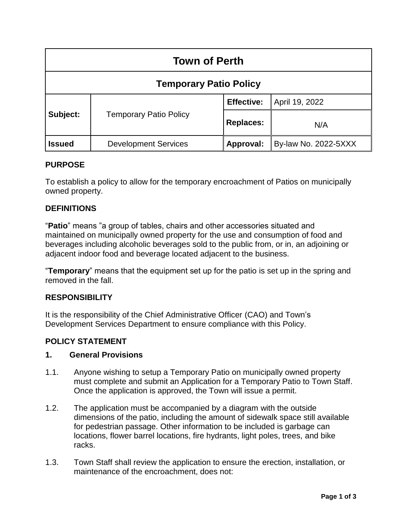| <b>Town of Perth</b>          |                               |                   |                      |
|-------------------------------|-------------------------------|-------------------|----------------------|
| <b>Temporary Patio Policy</b> |                               |                   |                      |
| Subject:                      | <b>Temporary Patio Policy</b> | <b>Effective:</b> | April 19, 2022       |
|                               |                               | <b>Replaces:</b>  | N/A                  |
| <b>Issued</b>                 | <b>Development Services</b>   | Approval:         | By-law No. 2022-5XXX |

### **PURPOSE**

To establish a policy to allow for the temporary encroachment of Patios on municipally owned property.

## **DEFINITIONS**

"**Patio**" means "a group of tables, chairs and other accessories situated and maintained on municipally owned property for the use and consumption of food and beverages including alcoholic beverages sold to the public from, or in, an adjoining or adjacent indoor food and beverage located adjacent to the business.

"**Temporary**" means that the equipment set up for the patio is set up in the spring and removed in the fall.

### **RESPONSIBILITY**

It is the responsibility of the Chief Administrative Officer (CAO) and Town's Development Services Department to ensure compliance with this Policy.

# **POLICY STATEMENT**

## **1. General Provisions**

- 1.1. Anyone wishing to setup a Temporary Patio on municipally owned property must complete and submit an Application for a Temporary Patio to Town Staff. Once the application is approved, the Town will issue a permit.
- 1.2. The application must be accompanied by a diagram with the outside dimensions of the patio, including the amount of sidewalk space still available for pedestrian passage. Other information to be included is garbage can locations, flower barrel locations, fire hydrants, light poles, trees, and bike racks.
- 1.3. Town Staff shall review the application to ensure the erection, installation, or maintenance of the encroachment, does not: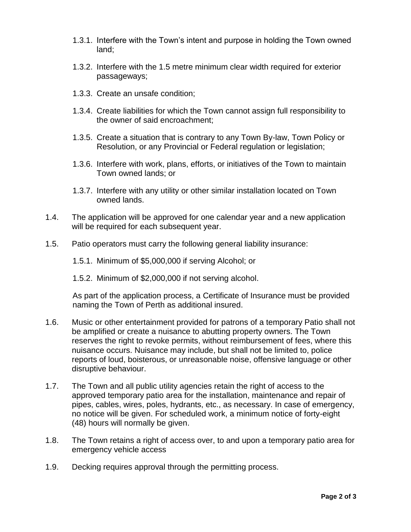- 1.3.1. Interfere with the Town's intent and purpose in holding the Town owned land;
- 1.3.2. Interfere with the 1.5 metre minimum clear width required for exterior passageways;
- 1.3.3. Create an unsafe condition;
- 1.3.4. Create liabilities for which the Town cannot assign full responsibility to the owner of said encroachment;
- 1.3.5. Create a situation that is contrary to any Town By-law, Town Policy or Resolution, or any Provincial or Federal regulation or legislation;
- 1.3.6. Interfere with work, plans, efforts, or initiatives of the Town to maintain Town owned lands; or
- 1.3.7. Interfere with any utility or other similar installation located on Town owned lands.
- 1.4. The application will be approved for one calendar year and a new application will be required for each subsequent year.
- 1.5. Patio operators must carry the following general liability insurance:
	- 1.5.1. Minimum of \$5,000,000 if serving Alcohol; or
	- 1.5.2. Minimum of \$2,000,000 if not serving alcohol.

As part of the application process, a Certificate of Insurance must be provided naming the Town of Perth as additional insured.

- 1.6. Music or other entertainment provided for patrons of a temporary Patio shall not be amplified or create a nuisance to abutting property owners. The Town reserves the right to revoke permits, without reimbursement of fees, where this nuisance occurs. Nuisance may include, but shall not be limited to, police reports of loud, boisterous, or unreasonable noise, offensive language or other disruptive behaviour.
- 1.7. The Town and all public utility agencies retain the right of access to the approved temporary patio area for the installation, maintenance and repair of pipes, cables, wires, poles, hydrants, etc., as necessary. In case of emergency, no notice will be given. For scheduled work, a minimum notice of forty-eight (48) hours will normally be given.
- 1.8. The Town retains a right of access over, to and upon a temporary patio area for emergency vehicle access
- 1.9. Decking requires approval through the permitting process.